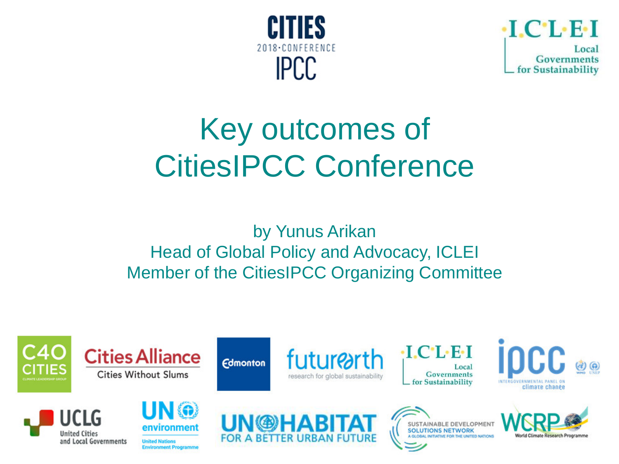



# Key outcomes of CitiesIPCC Conference

by Yunus Arikan Head of Global Policy and Advocacy, ICLEI Member of the CitiesIPCC Organizing Committee

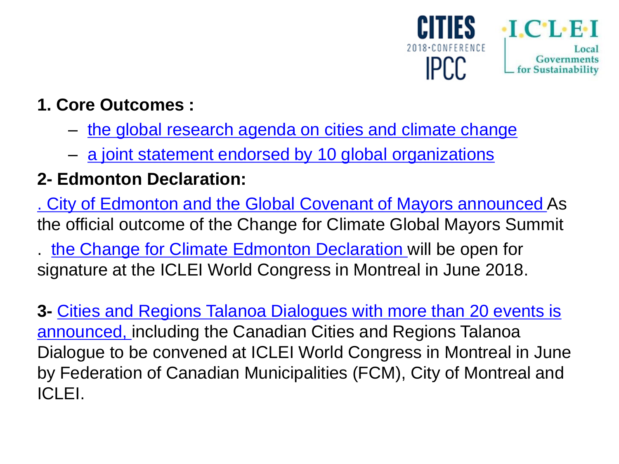

## **1. Core Outcomes :**

- [the global research agenda on cities and climate change](http:///)
- [a joint statement endorsed by 10 global organizations](https://citiesipcc.org/wp-content/uploads/2018/03/The-Science-We-need-for-Cities-We-want_March-7_Edmonton-1.pdf)

## **2- Edmonton Declaration:**

[. City of Edmonton and the Global Covenant of Mayors announced](https://www.globalcovenantofmayors.org/wp-content/uploads/2018/03/Declaration-Announcement-09.03.2018.pdf) As the official outcome of the Change for Climate Global Mayors Summit

. [the Change for Climate Edmonton Declaration](https://www.globalcovenantofmayors.org/wp-content/uploads/2018/03/Edmonton-Declaration-09.03.2018.pdf) will be open for signature at the ICLEI World Congress in Montreal in June 2018.

**3-** [Cities and Regions Talanoa](http://www.cities-and-regions.org/cop23/wp-content/uploads/2018/03/ipcc-media-advisory.pdf) [Dialogues with more than 20 events is](http://www.cities-and-regions.org/cop23/wp-content/uploads/2018/03/ipcc-media-advisory.pdf)  [announced,](http://www.cities-and-regions.org/cop23/wp-content/uploads/2018/03/ipcc-media-advisory.pdf) including the Canadian Cities and Regions Talanoa Dialogue to be convened at ICLEI World Congress in Montreal in June by Federation of Canadian Municipalities (FCM), City of Montreal and ICLEI.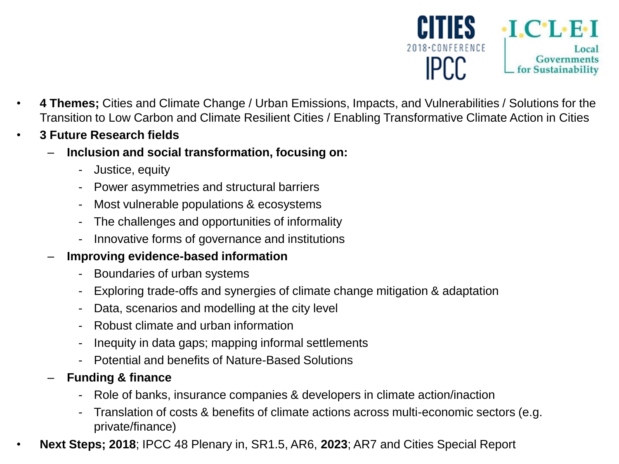

- **4 Themes;** Cities and Climate Change / Urban Emissions, Impacts, and Vulnerabilities / Solutions for the Transition to Low Carbon and Climate Resilient Cities / Enabling Transformative Climate Action in Cities
- **3 Future Research fields**
	- **Inclusion and social transformation, focusing on:**
		- Justice, equity
		- Power asymmetries and structural barriers
		- Most vulnerable populations & ecosystems
		- The challenges and opportunities of informality
		- Innovative forms of governance and institutions

#### – **Improving evidence-based information**

- Boundaries of urban systems
- Exploring trade-offs and synergies of climate change mitigation & adaptation
- Data, scenarios and modelling at the city level
- Robust climate and urban information
- Inequity in data gaps; mapping informal settlements
- Potential and benefits of Nature-Based Solutions
- **Funding & finance**
	- Role of banks, insurance companies & developers in climate action/inaction
	- Translation of costs & benefits of climate actions across multi-economic sectors (e.g. private/finance)
- **Next Steps; 2018**; IPCC 48 Plenary in, SR1.5, AR6, **2023**; AR7 and Cities Special Report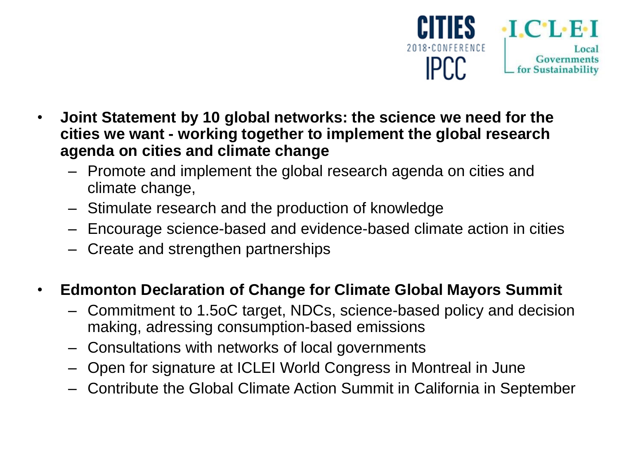

- **Joint Statement by 10 global networks: the science we need for the cities we want - working together to implement the global research agenda on cities and climate change**
	- Promote and implement the global research agenda on cities and climate change,
	- Stimulate research and the production of knowledge
	- Encourage science-based and evidence-based climate action in cities
	- Create and strengthen partnerships

#### • **Edmonton Declaration of Change for Climate Global Mayors Summit**

- Commitment to 1.5oC target, NDCs, science-based policy and decision making, adressing consumption-based emissions
- Consultations with networks of local governments
- Open for signature at ICLEI World Congress in Montreal in June
- Contribute the Global Climate Action Summit in California in September